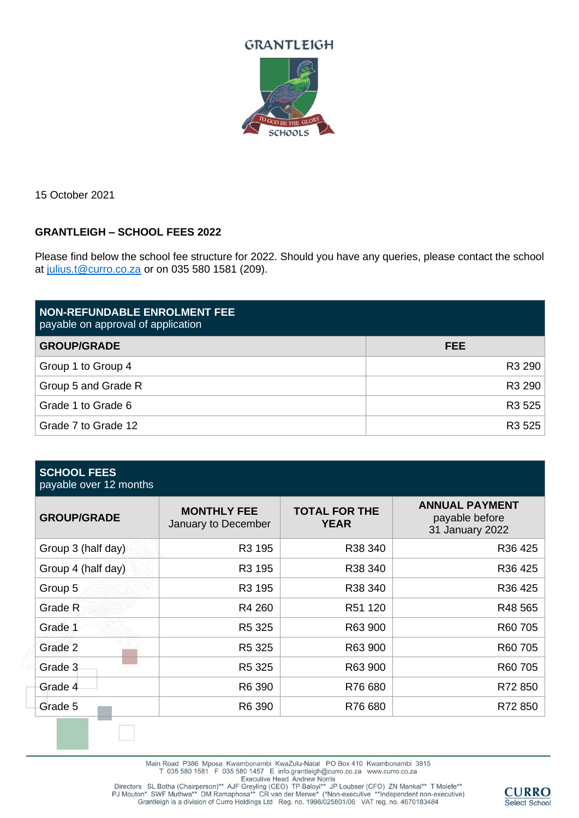



15 October 2021

## **GRANTLEIGH – SCHOOL FEES 2022**

Please find below the school fee structure for 2022. Should you have any queries, please contact the school at [julius.t@curro.co.za](mailto:julius.t@curro.co.za) or on 035 580 1581 (209).

| <b>NON-REFUNDABLE ENROLMENT FEE</b><br>payable on approval of application |            |
|---------------------------------------------------------------------------|------------|
| <b>GROUP/GRADE</b>                                                        | <b>FEE</b> |
| Group 1 to Group 4                                                        | R3 290     |
| Group 5 and Grade R                                                       | R3 290     |
| Grade 1 to Grade 6                                                        | R3 525     |
| Grade 7 to Grade 12                                                       | R3 525     |

| <b>SCHOOL FEES</b><br>payable over 12 months |                                           |                                     |                                                            |
|----------------------------------------------|-------------------------------------------|-------------------------------------|------------------------------------------------------------|
| <b>GROUP/GRADE</b>                           | <b>MONTHLY FEE</b><br>January to December | <b>TOTAL FOR THE</b><br><b>YEAR</b> | <b>ANNUAL PAYMENT</b><br>payable before<br>31 January 2022 |
| Group 3 (half day)                           | R3 195                                    | R38 340                             | R36 425                                                    |
| Group 4 (half day)                           | R3 195                                    | R38 340                             | R36 425                                                    |
| Group 5                                      | R3 195                                    | R38 340                             | R36 425                                                    |
| Grade R                                      | R4 260                                    | R51 120                             | R48 565                                                    |
| Grade 1                                      | R5 325                                    | R63 900                             | R60 705                                                    |
| Grade 2                                      | R5 325                                    | R63 900                             | R60 705                                                    |
| Grade 3                                      | R5 325                                    | R63 900                             | R60 705                                                    |
| Grade 4                                      | R6 390                                    | R76 680                             | R72 850                                                    |
| Grade 5                                      | R6 390                                    | R76 680                             | R72 850                                                    |

Main Road P386 Mposa Kwambonambi KwaZulu-Natal PO Box 410 Kwambonambi 3915 T 035 580 1581 F 035 580 1457 E info.grantleigh@curro.co.za www.curro.co.za

Executive Head Andrew Norris<br>Directors SL Botha (Chairperson)\*\* AJF Greyling (CEO) TP Baloyi\*\* JP Loubser (CFO) ZN Mankai\*\* T Molefe\*\*<br>PJ Mouton\* SWF Muthwa\*\* DM Ramaphosa\*\* CR van der Merwe\* (\*Non-executive \*\*Independent

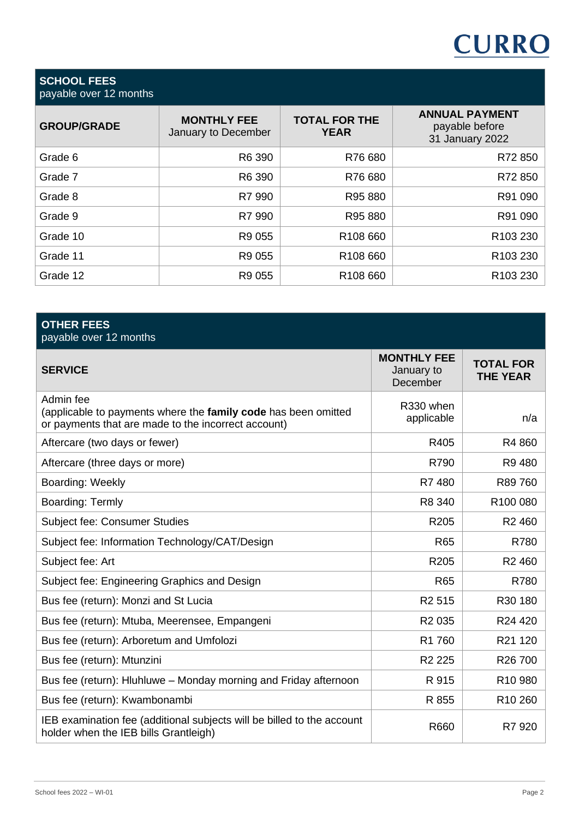# **CURRO**

#### **SCHOOL FEES** payable over 12 months

| $\mu$ payable over $\mu$ $\mu$ increases |                                           |                                     |                                                            |
|------------------------------------------|-------------------------------------------|-------------------------------------|------------------------------------------------------------|
| <b>GROUP/GRADE</b>                       | <b>MONTHLY FEE</b><br>January to December | <b>TOTAL FOR THE</b><br><b>YEAR</b> | <b>ANNUAL PAYMENT</b><br>payable before<br>31 January 2022 |
| Grade 6                                  | R6 390                                    | R76 680                             | R72 850                                                    |
| Grade 7                                  | R6 390                                    | R76 680                             | R72 850                                                    |
| Grade 8                                  | R7 990                                    | R95 880                             | R91 090                                                    |
| Grade 9                                  | R7 990                                    | R95 880                             | R91 090                                                    |
| Grade 10                                 | R9 055                                    | R108 660                            | R <sub>103</sub> 230                                       |
| Grade 11                                 | R9 055                                    | R108 660                            | R <sub>103</sub> 230                                       |
| Grade 12                                 | R9 055                                    | R108 660                            | R <sub>103</sub> 230                                       |

| <b>OTHER FEES</b><br>payable over 12 months                                                                                        |                                              |                                     |  |
|------------------------------------------------------------------------------------------------------------------------------------|----------------------------------------------|-------------------------------------|--|
| <b>SERVICE</b>                                                                                                                     | <b>MONTHLY FEE</b><br>January to<br>December | <b>TOTAL FOR</b><br><b>THE YEAR</b> |  |
| Admin fee<br>(applicable to payments where the family code has been omitted<br>or payments that are made to the incorrect account) | R330 when<br>applicable                      | n/a                                 |  |
| Aftercare (two days or fewer)                                                                                                      | R405                                         | R4 860                              |  |
| Aftercare (three days or more)                                                                                                     | R790                                         | R9480                               |  |
| Boarding: Weekly                                                                                                                   | R7480                                        | R89 760                             |  |
| Boarding: Termly                                                                                                                   | R8 340                                       | R100 080                            |  |
| Subject fee: Consumer Studies                                                                                                      | R205                                         | R <sub>2460</sub>                   |  |
| Subject fee: Information Technology/CAT/Design                                                                                     | <b>R65</b>                                   | R780                                |  |
| Subject fee: Art                                                                                                                   | R205                                         | R <sub>2460</sub>                   |  |
| Subject fee: Engineering Graphics and Design                                                                                       | <b>R65</b>                                   | R780                                |  |
| Bus fee (return): Monzi and St Lucia                                                                                               | R <sub>2</sub> 515                           | R30 180                             |  |
| Bus fee (return): Mtuba, Meerensee, Empangeni                                                                                      | R <sub>2</sub> 035                           | R24 420                             |  |
| Bus fee (return): Arboretum and Umfolozi                                                                                           | R1 760                                       | R21 120                             |  |
| Bus fee (return): Mtunzini                                                                                                         | R <sub>2</sub> 225                           | R26 700                             |  |
| Bus fee (return): Hluhluwe - Monday morning and Friday afternoon                                                                   | R 915                                        | R <sub>10</sub> 980                 |  |
| Bus fee (return): Kwambonambi                                                                                                      | R 855                                        | R <sub>10</sub> 260                 |  |
| IEB examination fee (additional subjects will be billed to the account<br>holder when the IEB bills Grantleigh)                    | R660                                         | R7 920                              |  |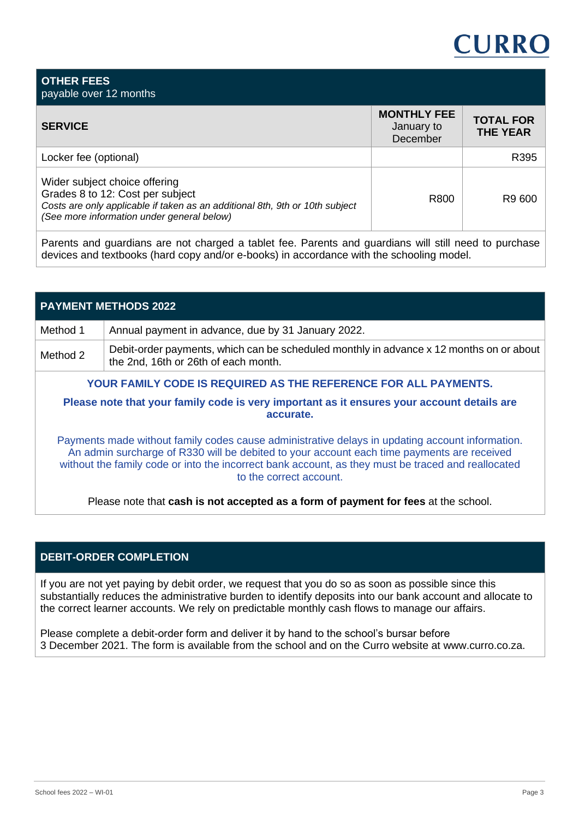## **CURRO**

| <b>OTHER FEES</b><br>payable over 12 months                                                                                                                                                     |                                              |                                     |
|-------------------------------------------------------------------------------------------------------------------------------------------------------------------------------------------------|----------------------------------------------|-------------------------------------|
| <b>SERVICE</b>                                                                                                                                                                                  | <b>MONTHLY FEE</b><br>January to<br>December | <b>TOTAL FOR</b><br><b>THE YEAR</b> |
| Locker fee (optional)                                                                                                                                                                           |                                              | R395                                |
| Wider subject choice offering<br>Grades 8 to 12: Cost per subject<br>Costs are only applicable if taken as an additional 8th, 9th or 10th subject<br>(See more information under general below) | R800                                         | R9 600                              |

Parents and guardians are not charged a tablet fee. Parents and guardians will still need to purchase devices and textbooks (hard copy and/or e-books) in accordance with the schooling model.

| <b>PAYMENT METHODS 2022</b>                                                                             |                                                                                                                                                                                                                                                                                                                                |  |  |
|---------------------------------------------------------------------------------------------------------|--------------------------------------------------------------------------------------------------------------------------------------------------------------------------------------------------------------------------------------------------------------------------------------------------------------------------------|--|--|
| Method 1                                                                                                | Annual payment in advance, due by 31 January 2022.                                                                                                                                                                                                                                                                             |  |  |
| Method 2                                                                                                | Debit-order payments, which can be scheduled monthly in advance x 12 months on or about<br>the 2nd, 16th or 26th of each month.                                                                                                                                                                                                |  |  |
| YOUR FAMILY CODE IS REQUIRED AS THE REFERENCE FOR ALL PAYMENTS.                                         |                                                                                                                                                                                                                                                                                                                                |  |  |
| Please note that your family code is very important as it ensures your account details are<br>accurate. |                                                                                                                                                                                                                                                                                                                                |  |  |
|                                                                                                         | Payments made without family codes cause administrative delays in updating account information.<br>An admin surcharge of R330 will be debited to your account each time payments are received<br>without the family code or into the incorrect bank account, as they must be traced and reallocated<br>to the correct account. |  |  |

Please note that **cash is not accepted as a form of payment for fees** at the school.

## **DEBIT-ORDER COMPLETION**

If you are not yet paying by debit order, we request that you do so as soon as possible since this substantially reduces the administrative burden to identify deposits into our bank account and allocate to the correct learner accounts. We rely on predictable monthly cash flows to manage our affairs.

Please complete a debit-order form and deliver it by hand to the school's bursar before 3 December 2021. The form is available from the school and on the Curro website at www.curro.co.za.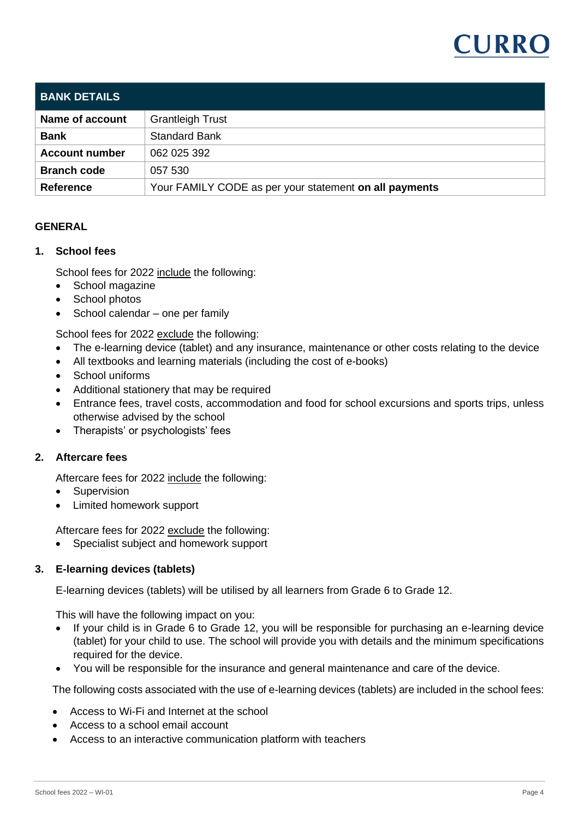

| <b>BANK DETAILS</b>   |                                                        |
|-----------------------|--------------------------------------------------------|
| Name of account       | <b>Grantleigh Trust</b>                                |
| <b>Bank</b>           | <b>Standard Bank</b>                                   |
| <b>Account number</b> | 062 025 392                                            |
| <b>Branch code</b>    | 057 530                                                |
| <b>Reference</b>      | Your FAMILY CODE as per your statement on all payments |

## **GENERAL**

#### **1. School fees**

School fees for 2022 include the following:

- School magazine
- School photos
- School calendar one per family

School fees for 2022 exclude the following:

- The e-learning device (tablet) and any insurance, maintenance or other costs relating to the device
- All textbooks and learning materials (including the cost of e-books)
- School uniforms
- Additional stationery that may be required
- Entrance fees, travel costs, accommodation and food for school excursions and sports trips, unless otherwise advised by the school
- Therapists' or psychologists' fees

## **2. Aftercare fees**

Aftercare fees for 2022 include the following:

- **Supervision**
- Limited homework support

Aftercare fees for 2022 exclude the following:

• Specialist subject and homework support

## **3. E-learning devices (tablets)**

E-learning devices (tablets) will be utilised by all learners from Grade 6 to Grade 12.

This will have the following impact on you:

- If your child is in Grade 6 to Grade 12, you will be responsible for purchasing an e-learning device (tablet) for your child to use. The school will provide you with details and the minimum specifications required for the device.
- You will be responsible for the insurance and general maintenance and care of the device.

The following costs associated with the use of e-learning devices (tablets) are included in the school fees:

- Access to Wi-Fi and Internet at the school
- Access to a school email account
- Access to an interactive communication platform with teachers